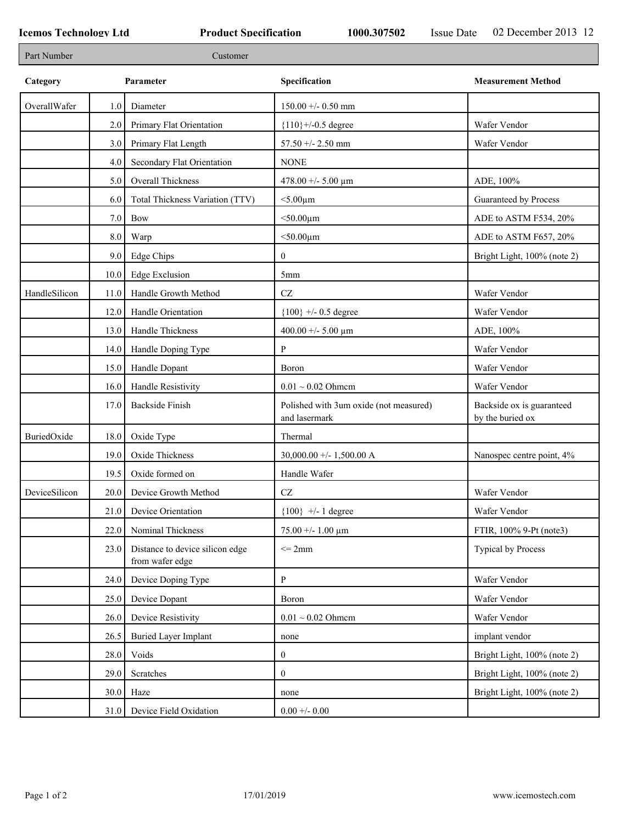| Part Number   |      | Customer                                           |                                                         |                                               |
|---------------|------|----------------------------------------------------|---------------------------------------------------------|-----------------------------------------------|
| Category      |      | Parameter                                          | Specification                                           | <b>Measurement Method</b>                     |
| OverallWafer  | 1.0  | Diameter                                           | $150.00 + - 0.50$ mm                                    |                                               |
|               | 2.0  | Primary Flat Orientation                           | ${110}$ +/-0.5 degree                                   | Wafer Vendor                                  |
|               | 3.0  | Primary Flat Length                                | 57.50 +/- 2.50 mm                                       | Wafer Vendor                                  |
|               | 4.0  | Secondary Flat Orientation                         | <b>NONE</b>                                             |                                               |
|               | 5.0  | Overall Thickness                                  | 478.00 +/- 5.00 $\mu$ m                                 | ADE, 100%                                     |
|               | 6.0  | Total Thickness Variation (TTV)                    | $<$ 5.00 $\mu$ m                                        | Guaranteed by Process                         |
|               | 7.0  | <b>Bow</b>                                         | $<$ 50.00 $\mu$ m                                       | ADE to ASTM F534, 20%                         |
|               | 8.0  | Warp                                               | $<$ 50.00 $\mu$ m                                       | ADE to ASTM F657, 20%                         |
|               | 9.0  | Edge Chips                                         | $\mathbf{0}$                                            | Bright Light, 100% (note 2)                   |
|               | 10.0 | Edge Exclusion                                     | 5 <sub>mm</sub>                                         |                                               |
| HandleSilicon | 11.0 | Handle Growth Method                               | $\operatorname{CZ}$                                     | Wafer Vendor                                  |
|               | 12.0 | Handle Orientation                                 | ${100}$ +/- 0.5 degree                                  | Wafer Vendor                                  |
|               | 13.0 | Handle Thickness                                   | 400.00 +/- 5.00 $\mu$ m                                 | ADE, 100%                                     |
|               | 14.0 | Handle Doping Type                                 | P                                                       | Wafer Vendor                                  |
|               | 15.0 | Handle Dopant                                      | Boron                                                   | Wafer Vendor                                  |
|               | 16.0 | Handle Resistivity                                 | $0.01 \sim 0.02$ Ohmem                                  | Wafer Vendor                                  |
|               | 17.0 | <b>Backside Finish</b>                             | Polished with 3um oxide (not measured)<br>and lasermark | Backside ox is guaranteed<br>by the buried ox |
| BuriedOxide   | 18.0 | Oxide Type                                         | Thermal                                                 |                                               |
|               | 19.0 | Oxide Thickness                                    | 30,000.00 +/- 1,500.00 A                                | Nanospec centre point, 4%                     |
|               | 19.5 | Oxide formed on                                    | Handle Wafer                                            |                                               |
| DeviceSilicon | 20.0 | Device Growth Method                               | $\operatorname{CZ}$                                     | Wafer Vendor                                  |
|               | 21.0 | Device Orientation                                 | ${100}$ +/- 1 degree                                    | Wafer Vendor                                  |
|               | 22.0 | Nominal Thickness                                  | $75.00 + - 1.00 \mu m$                                  | FTIR, 100% 9-Pt (note3)                       |
|               | 23.0 | Distance to device silicon edge<br>from wafer edge | $\leq$ 2mm                                              | Typical by Process                            |
|               | 24.0 | Device Doping Type                                 | P                                                       | Wafer Vendor                                  |
|               | 25.0 | Device Dopant                                      | Boron                                                   | Wafer Vendor                                  |
|               | 26.0 | Device Resistivity                                 | $0.01 \sim 0.02$ Ohmem                                  | Wafer Vendor                                  |
|               | 26.5 | <b>Buried Layer Implant</b>                        | none                                                    | implant vendor                                |
|               | 28.0 | Voids                                              | $\mathbf{0}$                                            | Bright Light, 100% (note 2)                   |
|               | 29.0 | Scratches                                          | $\mathbf{0}$                                            | Bright Light, 100% (note 2)                   |
|               | 30.0 | Haze                                               | none                                                    | Bright Light, 100% (note 2)                   |
|               | 31.0 | Device Field Oxidation                             | $0.00 + - 0.00$                                         |                                               |